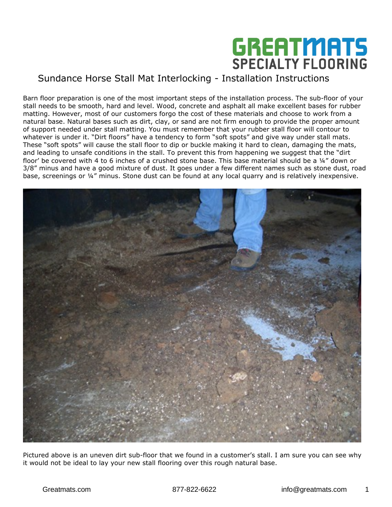

Barn floor preparation is one of the most important steps of the installation process. The sub-floor of your stall needs to be smooth, hard and level. Wood, concrete and asphalt all make excellent bases for rubber matting. However, most of our customers forgo the cost of these materials and choose to work from a natural base. Natural bases such as dirt, clay, or sand are not firm enough to provide the proper amount of support needed under stall matting. You must remember that your rubber stall floor will contour to whatever is under it. "Dirt floors" have a tendency to form "soft spots" and give way under stall mats. These "soft spots" will cause the stall floor to dip or buckle making it hard to clean, damaging the mats, and leading to unsafe conditions in the stall. To prevent this from happening we suggest that the "dirt floor' be covered with 4 to 6 inches of a crushed stone base. This base material should be a 1/4" down or 3/8" minus and have a good mixture of dust. It goes under a few different names such as stone dust, road base, screenings or ¼" minus. Stone dust can be found at any local quarry and is relatively inexpensive.



Pictured above is an uneven dirt sub-floor that we found in a customer's stall. I am sure you can see why it would not be ideal to lay your new stall flooring over this rough natural base.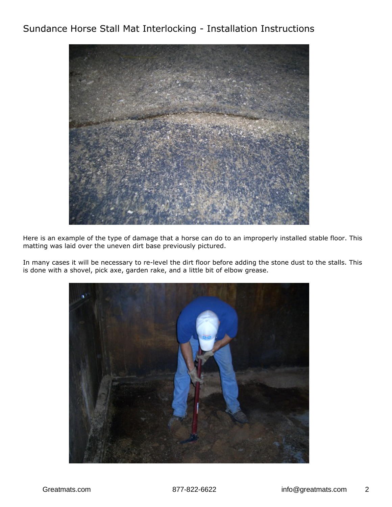

Here is an example of the type of damage that a horse can do to an improperly installed stable floor. This matting was laid over the uneven dirt base previously pictured.

In many cases it will be necessary to re-level the dirt floor before adding the stone dust to the stalls. This is done with a shovel, pick axe, garden rake, and a little bit of elbow grease.

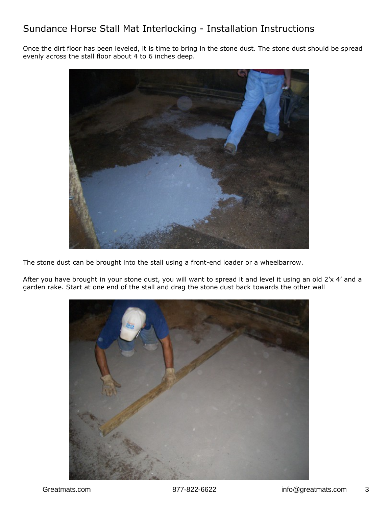Once the dirt floor has been leveled, it is time to bring in the stone dust. The stone dust should be spread evenly across the stall floor about 4 to 6 inches deep.



The stone dust can be brought into the stall using a front-end loader or a wheelbarrow.

After you have brought in your stone dust, you will want to spread it and level it using an old 2'x 4' and a garden rake. Start at one end of the stall and drag the stone dust back towards the other wall

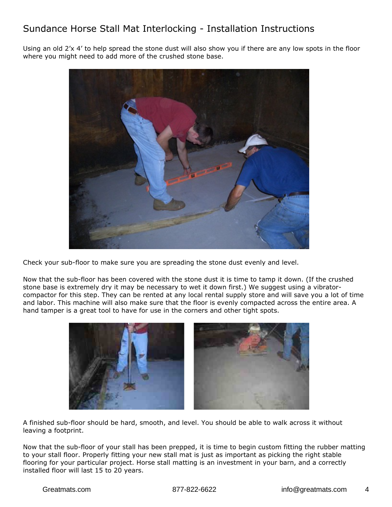Using an old 2'x 4' to help spread the stone dust will also show you if there are any low spots in the floor where you might need to add more of the crushed stone base.



Check your sub-floor to make sure you are spreading the stone dust evenly and level.

Now that the sub-floor has been covered with the stone dust it is time to tamp it down. (If the crushed stone base is extremely dry it may be necessary to wet it down first.) We suggest using a vibratorcompactor for this step. They can be rented at any local rental supply store and will save you a lot of time and labor. This machine will also make sure that the floor is evenly compacted across the entire area. A hand tamper is a great tool to have for use in the corners and other tight spots.



A finished sub-floor should be hard, smooth, and level. You should be able to walk across it without leaving a footprint.

Now that the sub-floor of your stall has been prepped, it is time to begin custom fitting the rubber matting to your stall floor. Properly fitting your new stall mat is just as important as picking the right stable flooring for your particular project. Horse stall matting is an investment in your barn, and a correctly installed floor will last 15 to 20 years.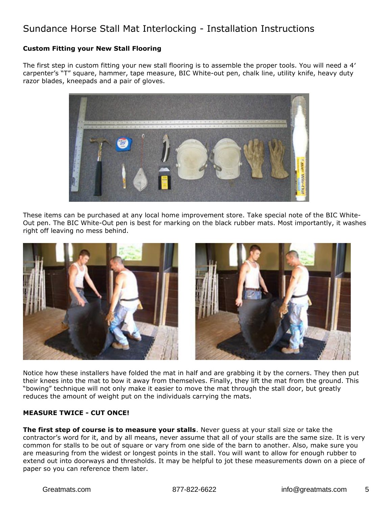#### **Custom Fitting your New Stall Flooring**

The first step in custom fitting your new stall flooring is to assemble the proper tools. You will need a 4′ carpenter's "T" square, hammer, tape measure, BIC White-out pen, chalk line, utility knife, heavy duty razor blades, kneepads and a pair of gloves.



These items can be purchased at any local home improvement store. Take special note of the BIC White-Out pen. The BIC White-Out pen is best for marking on the black rubber mats. Most importantly, it washes right off leaving no mess behind.



Notice how these installers have folded the mat in half and are grabbing it by the corners. They then put their knees into the mat to bow it away from themselves. Finally, they lift the mat from the ground. This "bowing" technique will not only make it easier to move the mat through the stall door, but greatly reduces the amount of weight put on the individuals carrying the mats.

#### **MEASURE TWICE - CUT ONCE!**

**The first step of course is to measure your stalls**. Never guess at your stall size or take the contractor's word for it, and by all means, never assume that all of your stalls are the same size. It is very common for stalls to be out of square or vary from one side of the barn to another. Also, make sure you are measuring from the widest or longest points in the stall. You will want to allow for enough rubber to extend out into doorways and thresholds. It may be helpful to jot these measurements down on a piece of paper so you can reference them later.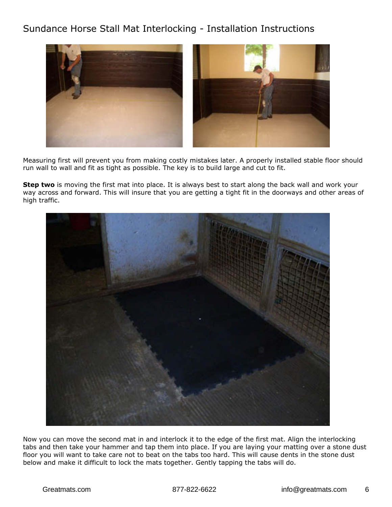

Measuring first will prevent you from making costly mistakes later. A properly installed stable floor should run wall to wall and fit as tight as possible. The key is to build large and cut to fit.

**Step two** is moving the first mat into place. It is always best to start along the back wall and work your way across and forward. This will insure that you are getting a tight fit in the doorways and other areas of high traffic.



Now you can move the second mat in and interlock it to the edge of the first mat. Align the interlocking tabs and then take your hammer and tap them into place. If you are laying your matting over a stone dust floor you will want to take care not to beat on the tabs too hard. This will cause dents in the stone dust below and make it difficult to lock the mats together. Gently tapping the tabs will do.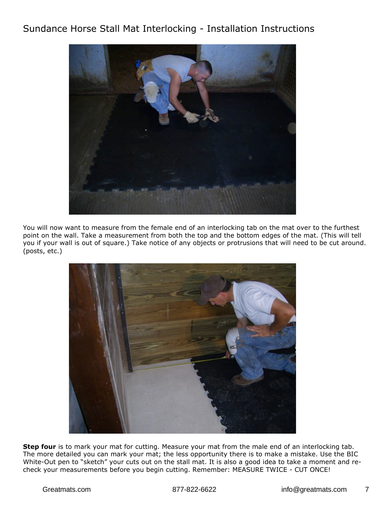

You will now want to measure from the female end of an interlocking tab on the mat over to the furthest point on the wall. Take a measurement from both the top and the bottom edges of the mat. (This will tell you if your wall is out of square.) Take notice of any objects or protrusions that will need to be cut around. (posts, etc.)



**Step four** is to mark your mat for cutting. Measure your mat from the male end of an interlocking tab. The more detailed you can mark your mat; the less opportunity there is to make a mistake. Use the BIC White-Out pen to "sketch" your cuts out on the stall mat. It is also a good idea to take a moment and recheck your measurements before you begin cutting. Remember: MEASURE TWICE - CUT ONCE!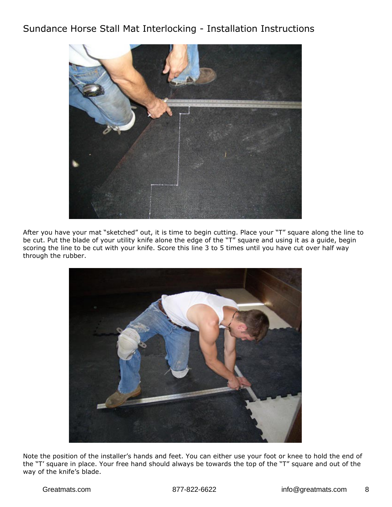

After you have your mat "sketched" out, it is time to begin cutting. Place your "T" square along the line to be cut. Put the blade of your utility knife alone the edge of the "T" square and using it as a guide, begin scoring the line to be cut with your knife. Score this line 3 to 5 times until you have cut over half way through the rubber.



Note the position of the installer's hands and feet. You can either use your foot or knee to hold the end of the "T' square in place. Your free hand should always be towards the top of the "T" square and out of the way of the knife's blade.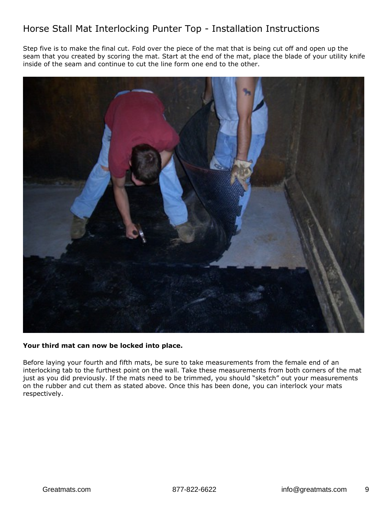# Horse Stall Mat Interlocking Punter Top - Installation Instructions

Step five is to make the final cut. Fold over the piece of the mat that is being cut off and open up the seam that you created by scoring the mat. Start at the end of the mat, place the blade of your utility knife inside of the seam and continue to cut the line form one end to the other.



#### **Your third mat can now be locked into place.**

Before laying your fourth and fifth mats, be sure to take measurements from the female end of an interlocking tab to the furthest point on the wall. Take these measurements from both corners of the mat just as you did previously. If the mats need to be trimmed, you should "sketch" out your measurements on the rubber and cut them as stated above. Once this has been done, you can interlock your mats respectively.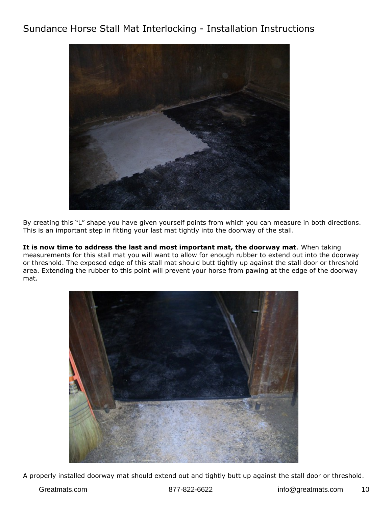

By creating this "L" shape you have given yourself points from which you can measure in both directions. This is an important step in fitting your last mat tightly into the doorway of the stall.

**It is now time to address the last and most important mat, the doorway mat**. When taking measurements for this stall mat you will want to allow for enough rubber to extend out into the doorway or threshold. The exposed edge of this stall mat should butt tightly up against the stall door or threshold area. Extending the rubber to this point will prevent your horse from pawing at the edge of the doorway mat.



A properly installed doorway mat should extend out and tightly butt up against the stall door or threshold.